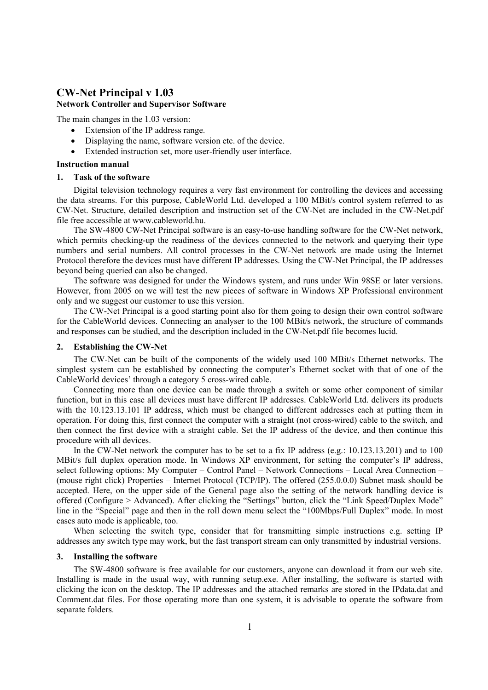# **CW-Net Principal v 1.03 Network Controller and Supervisor Software**

The main changes in the 1.03 version:

- Extension of the IP address range.
- Displaying the name, software version etc. of the device.
- Extended instruction set, more user-friendly user interface.

#### **Instruction manual**

#### **1. Task of the software**

 Digital television technology requires a very fast environment for controlling the devices and accessing the data streams. For this purpose, CableWorld Ltd. developed a 100 MBit/s control system referred to as CW-Net. Structure, detailed description and instruction set of the CW-Net are included in the CW-Net.pdf file free accessible at www.cableworld.hu.

 The SW-4800 CW-Net Principal software is an easy-to-use handling software for the CW-Net network, which permits checking-up the readiness of the devices connected to the network and querying their type numbers and serial numbers. All control processes in the CW-Net network are made using the Internet Protocol therefore the devices must have different IP addresses. Using the CW-Net Principal, the IP addresses beyond being queried can also be changed.

 The software was designed for under the Windows system, and runs under Win 98SE or later versions. However, from 2005 on we will test the new pieces of software in Windows XP Professional environment only and we suggest our customer to use this version.

 The CW-Net Principal is a good starting point also for them going to design their own control software for the CableWorld devices. Connecting an analyser to the 100 MBit/s network, the structure of commands and responses can be studied, and the description included in the CW-Net.pdf file becomes lucid.

#### **2. Establishing the CW-Net**

 The CW-Net can be built of the components of the widely used 100 MBit/s Ethernet networks. The simplest system can be established by connecting the computer's Ethernet socket with that of one of the CableWorld devices' through a category 5 cross-wired cable.

 Connecting more than one device can be made through a switch or some other component of similar function, but in this case all devices must have different IP addresses. CableWorld Ltd. delivers its products with the 10.123.13.101 IP address, which must be changed to different addresses each at putting them in operation. For doing this, first connect the computer with a straight (not cross-wired) cable to the switch, and then connect the first device with a straight cable. Set the IP address of the device, and then continue this procedure with all devices.

 In the CW-Net network the computer has to be set to a fix IP address (e.g.: 10.123.13.201) and to 100 MBit/s full duplex operation mode. In Windows XP environment, for setting the computer's IP address, select following options: My Computer – Control Panel – Network Connections – Local Area Connection – (mouse right click) Properties – Internet Protocol (TCP/IP). The offered (255.0.0.0) Subnet mask should be accepted. Here, on the upper side of the General page also the setting of the network handling device is offered (Configure > Advanced). After clicking the "Settings" button, click the "Link Speed/Duplex Mode" line in the "Special" page and then in the roll down menu select the "100Mbps/Full Duplex" mode. In most cases auto mode is applicable, too.

When selecting the switch type, consider that for transmitting simple instructions e.g. setting IP addresses any switch type may work, but the fast transport stream can only transmitted by industrial versions.

#### **3. Installing the software**

 The SW-4800 software is free available for our customers, anyone can download it from our web site. Installing is made in the usual way, with running setup.exe. After installing, the software is started with clicking the icon on the desktop. The IP addresses and the attached remarks are stored in the IPdata.dat and Comment.dat files. For those operating more than one system, it is advisable to operate the software from separate folders.